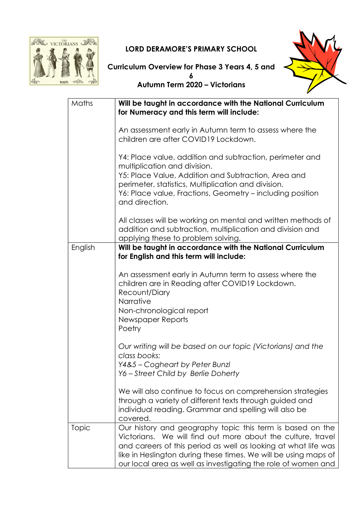

## LORD DERAMORE'S PRIMARY SCHOOL



Curriculum Overview for Phase 3 Years 4, 5 and 6

Autumn Term 2020 – Victorians

| Maths   | Will be taught in accordance with the National Curriculum<br>for Numeracy and this term will include:                                                                                                                                                                                                                          |
|---------|--------------------------------------------------------------------------------------------------------------------------------------------------------------------------------------------------------------------------------------------------------------------------------------------------------------------------------|
|         | An assessment early in Autumn term to assess where the<br>children are after COVID19 Lockdown.                                                                                                                                                                                                                                 |
|         | Y4: Place value, addition and subtraction, perimeter and<br>multiplication and division.<br>Y5: Place Value, Addition and Subtraction, Area and<br>perimeter, statistics, Multiplication and division.<br>Y6: Place value, Fractions, Geometry – including position<br>and direction.                                          |
|         | All classes will be working on mental and written methods of<br>addition and subtraction, multiplication and division and<br>applying these to problem solving.                                                                                                                                                                |
| English | Will be taught in accordance with the National Curriculum<br>for English and this term will include:                                                                                                                                                                                                                           |
|         | An assessment early in Autumn term to assess where the<br>children are in Reading after COVID19 Lockdown.<br>Recount/Diary<br>Narrative<br>Non-chronological report<br>Newspaper Reports<br>Poetry                                                                                                                             |
|         | Our writing will be based on our topic (Victorians) and the<br>class books:<br>Y4&5 - Cogheart by Peter Bunzl<br>Y6 - Street Child by Berlie Doherty                                                                                                                                                                           |
|         | We will also continue to focus on comprehension strategies<br>through a variety of different texts through guided and<br>individual reading. Grammar and spelling will also be<br>covered.                                                                                                                                     |
| Topic   | Our history and geography topic this term is based on the<br>Victorians. We will find out more about the culture, travel<br>and careers of this period as well as looking at what life was<br>like in Heslington during these times. We will be using maps of<br>our local area as well as investigating the role of women and |